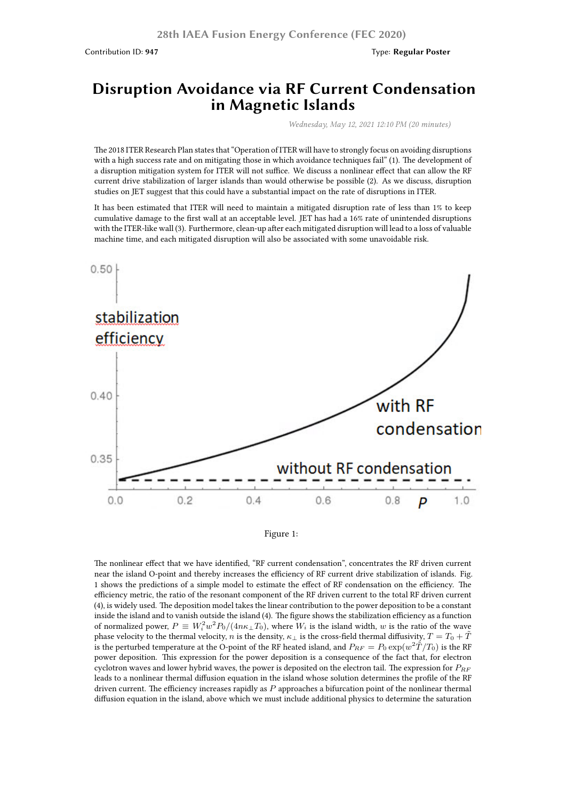## **Disruption Avoidance via RF Current Condensation in Magnetic Islands**

*Wednesday, May 12, 2021 12:10 PM (20 minutes)*

The 2018 ITER Research Plan states that "Operation of ITER will have to strongly focus on avoiding disruptions with a high success rate and on mitigating those in which avoidance techniques fail" (1). The development of a disruption mitigation system for ITER will not suffice. We discuss a nonlinear effect that can allow the RF current drive stabilization of larger islands than would otherwise be possible (2). As we discuss, disruption studies on JET suggest that this could have a substantial impact on the rate of disruptions in ITER.

It has been estimated that ITER will need to maintain a mitigated disruption rate of less than 1% to keep cumulative damage to the first wall at an acceptable level. JET has had a 16% rate of unintended disruptions with the ITER-like wall (3). Furthermore, clean-up after each mitigated disruption will lead to a loss of valuable machine time, and each mitigated disruption will also be associated with some unavoidable risk.





The nonlinear effect that we have identified, "RF current condensation", concentrates the RF driven current near the island O-point and thereby increases the efficiency of RF current drive stabilization of islands. Fig. 1 shows the predictions of a simple model to estimate the effect of RF condensation on the efficiency. The efficiency metric, the ratio of the resonant component of the RF driven current to the total RF driven current (4), is widely used. The deposition model takes the linear contribution to the power deposition to be a constant inside the island and to vanish outside the island (4). The figure shows the stabilization efficiency as a function of normalized power,  $P \equiv W_i^2 w^2 P_0/(4n\kappa_\perp T_0)$ , where  $W_i$  is the island width,  $w$  is the ratio of the wave phase velocity to the thermal velocity, *n* is the density,  $\kappa_{\perp}$  is the cross-field thermal diffusivity,  $T = T_0 + \tilde{T}$ is the perturbed temperature at the O-point of the RF heated island, and  $P_{RF}=P_0\exp(w^2\mathring{T}/T_0)$  is the RF power deposition. This expression for the power deposition is a consequence of the fact that, for electron cyclotron waves and lower hybrid waves, the power is deposited on the electron tail. The expression for *PRF* leads to a nonlinear thermal diffusion equation in the island whose solution determines the profile of the RF driven current. The efficiency increases rapidly as *P* approaches a bifurcation point of the nonlinear thermal diffusion equation in the island, above which we must include additional physics to determine the saturation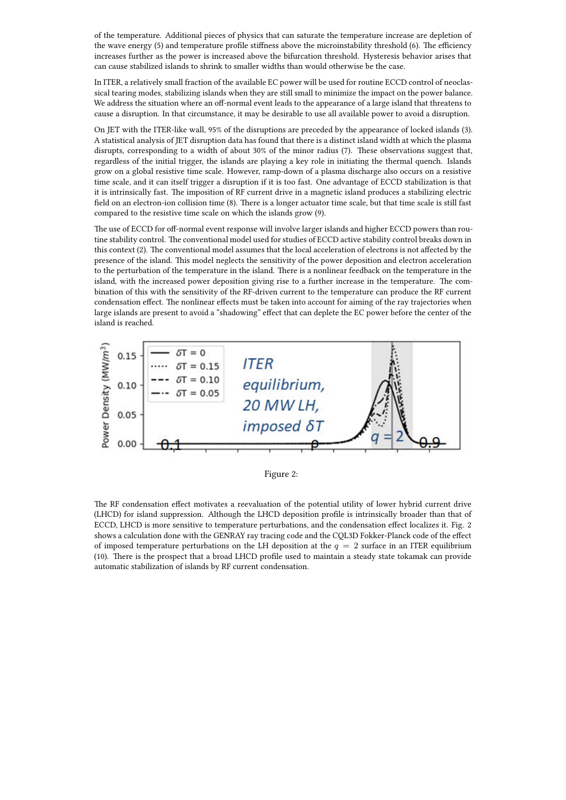of the temperature. Additional pieces of physics that can saturate the temperature increase are depletion of the wave energy (5) and temperature profile stiffness above the microinstability threshold (6). The efficiency increases further as the power is increased above the bifurcation threshold. Hysteresis behavior arises that can cause stabilized islands to shrink to smaller widths than would otherwise be the case.

In ITER, a relatively small fraction of the available EC power will be used for routine ECCD control of neoclassical tearing modes, stabilizing islands when they are still small to minimize the impact on the power balance. We address the situation where an off-normal event leads to the appearance of a large island that threatens to cause a disruption. In that circumstance, it may be desirable to use all available power to avoid a disruption.

On JET with the ITER-like wall, 95% of the disruptions are preceded by the appearance of locked islands (3). A statistical analysis of JET disruption data has found that there is a distinct island width at which the plasma disrupts, corresponding to a width of about 30% of the minor radius (7). These observations suggest that, regardless of the initial trigger, the islands are playing a key role in initiating the thermal quench. Islands grow on a global resistive time scale. However, ramp-down of a plasma discharge also occurs on a resistive time scale, and it can itself trigger a disruption if it is too fast. One advantage of ECCD stabilization is that it is intrinsically fast. The imposition of RF current drive in a magnetic island produces a stabilizing electric field on an electron-ion collision time (8). There is a longer actuator time scale, but that time scale is still fast compared to the resistive time scale on which the islands grow (9).

The use of ECCD for off-normal event response will involve larger islands and higher ECCD powers than routine stability control. The conventional model used for studies of ECCD active stability control breaks down in this context (2). The conventional model assumes that the local acceleration of electrons is not affected by the presence of the island. This model neglects the sensitivity of the power deposition and electron acceleration to the perturbation of the temperature in the island. There is a nonlinear feedback on the temperature in the island, with the increased power deposition giving rise to a further increase in the temperature. The combination of this with the sensitivity of the RF-driven current to the temperature can produce the RF current condensation effect. The nonlinear effects must be taken into account for aiming of the ray trajectories when large islands are present to avoid a "shadowing" effect that can deplete the EC power before the center of the island is reached.



Figure 2:

The RF condensation effect motivates a reevaluation of the potential utility of lower hybrid current drive (LHCD) for island suppression. Although the LHCD deposition profile is intrinsically broader than that of ECCD, LHCD is more sensitive to temperature perturbations, and the condensation effect localizes it. Fig. 2 shows a calculation done with the GENRAY ray tracing code and the CQL3D Fokker-Planck code of the effect of imposed temperature perturbations on the LH deposition at the  $q = 2$  surface in an ITER equilibrium (10). There is the prospect that a broad LHCD profile used to maintain a steady state tokamak can provide automatic stabilization of islands by RF current condensation.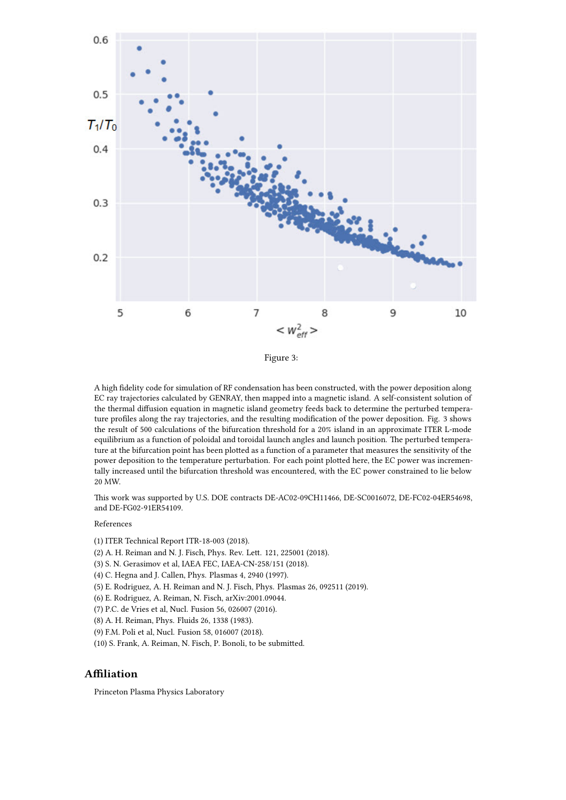

Figure 3:

A high fidelity code for simulation of RF condensation has been constructed, with the power deposition along EC ray trajectories calculated by GENRAY, then mapped into a magnetic island. A self-consistent solution of the thermal diffusion equation in magnetic island geometry feeds back to determine the perturbed temperature profiles along the ray trajectories, and the resulting modification of the power deposition. Fig. 3 shows the result of 500 calculations of the bifurcation threshold for a 20% island in an approximate ITER L-mode equilibrium as a function of poloidal and toroidal launch angles and launch position. The perturbed temperature at the bifurcation point has been plotted as a function of a parameter that measures the sensitivity of the power deposition to the temperature perturbation. For each point plotted here, the EC power was incrementally increased until the bifurcation threshold was encountered, with the EC power constrained to lie below 20 MW.

This work was supported by U.S. DOE contracts DE-AC02-09CH11466, DE-SC0016072, DE-FC02-04ER54698, and DE-FG02-91ER54109.

## References

- (1) ITER Technical Report ITR-18-003 (2018).
- (2) A. H. Reiman and N. J. Fisch, Phys. Rev. Lett. 121, 225001 (2018).
- (3) S. N. Gerasimov et al, IAEA FEC, IAEA-CN-258/151 (2018).
- (4) C. Hegna and J. Callen, Phys. Plasmas 4, 2940 (1997).
- (5) E. Rodriguez, A. H. Reiman and N. J. Fisch, Phys. Plasmas 26, 092511 (2019).
- (6) E. Rodriguez, A. Reiman, N. Fisch, arXiv:2001.09044.
- (7) P.C. de Vries et al, Nucl. Fusion 56, 026007 (2016).
- (8) A. H. Reiman, Phys. Fluids 26, 1338 (1983).
- (9) F.M. Poli et al, Nucl. Fusion 58, 016007 (2018).
- (10) S. Frank, A. Reiman, N. Fisch, P. Bonoli, to be submitted.

## **Affiliation**

Princeton Plasma Physics Laboratory